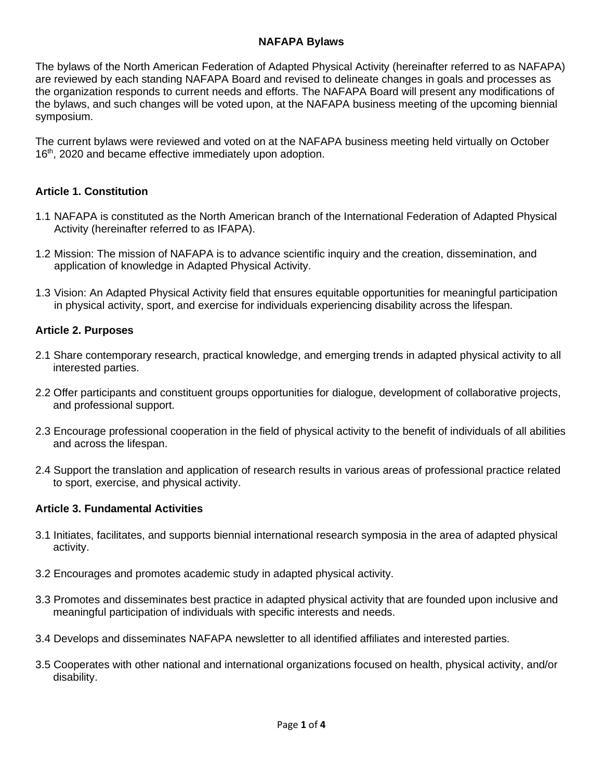#### **NAFAPA Bylaws**

The bylaws of the North American Federation of Adapted Physical Activity (hereinafter referred to as NAFAPA) are reviewed by each standing NAFAPA Board and revised to delineate changes in goals and processes as the organization responds to current needs and efforts. The NAFAPA Board will present any modifications of the bylaws, and such changes will be voted upon, at the NAFAPA business meeting of the upcoming biennial symposium.

The current bylaws were reviewed and voted on at the NAFAPA business meeting held virtually on October 16<sup>th</sup>, 2020 and became effective immediately upon adoption.

### **Article 1. Constitution**

- 1.1 NAFAPA is constituted as the North American branch of the International Federation of Adapted Physical Activity (hereinafter referred to as IFAPA).
- 1.2 Mission: The mission of NAFAPA is to advance scientific inquiry and the creation, dissemination, and application of knowledge in Adapted Physical Activity.
- 1.3 Vision: An Adapted Physical Activity field that ensures equitable opportunities for meaningful participation in physical activity, sport, and exercise for individuals experiencing disability across the lifespan.

#### **Article 2. Purposes**

- 2.1 Share contemporary research, practical knowledge, and emerging trends in adapted physical activity to all interested parties.
- 2.2 Offer participants and constituent groups opportunities for dialogue, development of collaborative projects, and professional support.
- 2.3 Encourage professional cooperation in the field of physical activity to the benefit of individuals of all abilities and across the lifespan.
- 2.4 Support the translation and application of research results in various areas of professional practice related to sport, exercise, and physical activity.

#### **Article 3. Fundamental Activities**

- 3.1 Initiates, facilitates, and supports biennial international research symposia in the area of adapted physical activity.
- 3.2 Encourages and promotes academic study in adapted physical activity.
- 3.3 Promotes and disseminates best practice in adapted physical activity that are founded upon inclusive and meaningful participation of individuals with specific interests and needs.
- 3.4 Develops and disseminates NAFAPA newsletter to all identified affiliates and interested parties.
- 3.5 Cooperates with other national and international organizations focused on health, physical activity, and/or disability.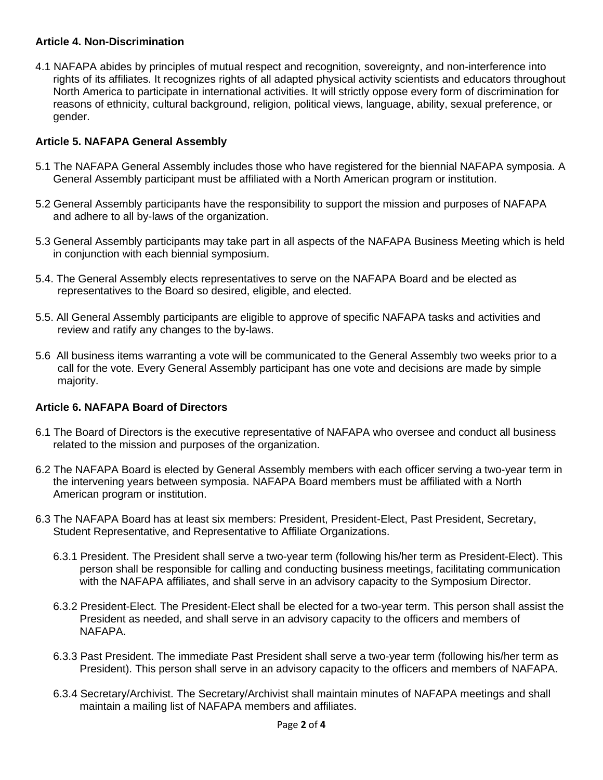### **Article 4. Non-Discrimination**

4.1 NAFAPA abides by principles of mutual respect and recognition, sovereignty, and non-interference into rights of its affiliates. It recognizes rights of all adapted physical activity scientists and educators throughout North America to participate in international activities. It will strictly oppose every form of discrimination for reasons of ethnicity, cultural background, religion, political views, language, ability, sexual preference, or gender.

# **Article 5. NAFAPA General Assembly**

- 5.1 The NAFAPA General Assembly includes those who have registered for the biennial NAFAPA symposia. A General Assembly participant must be affiliated with a North American program or institution.
- 5.2 General Assembly participants have the responsibility to support the mission and purposes of NAFAPA and adhere to all by-laws of the organization.
- 5.3 General Assembly participants may take part in all aspects of the NAFAPA Business Meeting which is held in conjunction with each biennial symposium.
- 5.4. The General Assembly elects representatives to serve on the NAFAPA Board and be elected as representatives to the Board so desired, eligible, and elected.
- 5.5. All General Assembly participants are eligible to approve of specific NAFAPA tasks and activities and review and ratify any changes to the by-laws.
- 5.6 All business items warranting a vote will be communicated to the General Assembly two weeks prior to a call for the vote. Every General Assembly participant has one vote and decisions are made by simple majority.

# **Article 6. NAFAPA Board of Directors**

- 6.1 The Board of Directors is the executive representative of NAFAPA who oversee and conduct all business related to the mission and purposes of the organization.
- 6.2 The NAFAPA Board is elected by General Assembly members with each officer serving a two-year term in the intervening years between symposia. NAFAPA Board members must be affiliated with a North American program or institution.
- 6.3 The NAFAPA Board has at least six members: President, President-Elect, Past President, Secretary, Student Representative, and Representative to Affiliate Organizations.
	- 6.3.1 President. The President shall serve a two-year term (following his/her term as President-Elect). This person shall be responsible for calling and conducting business meetings, facilitating communication with the NAFAPA affiliates, and shall serve in an advisory capacity to the Symposium Director.
	- 6.3.2 President-Elect. The President-Elect shall be elected for a two-year term. This person shall assist the President as needed, and shall serve in an advisory capacity to the officers and members of NAFAPA.
	- 6.3.3 Past President. The immediate Past President shall serve a two-year term (following his/her term as President). This person shall serve in an advisory capacity to the officers and members of NAFAPA.
	- 6.3.4 Secretary/Archivist. The Secretary/Archivist shall maintain minutes of NAFAPA meetings and shall maintain a mailing list of NAFAPA members and affiliates.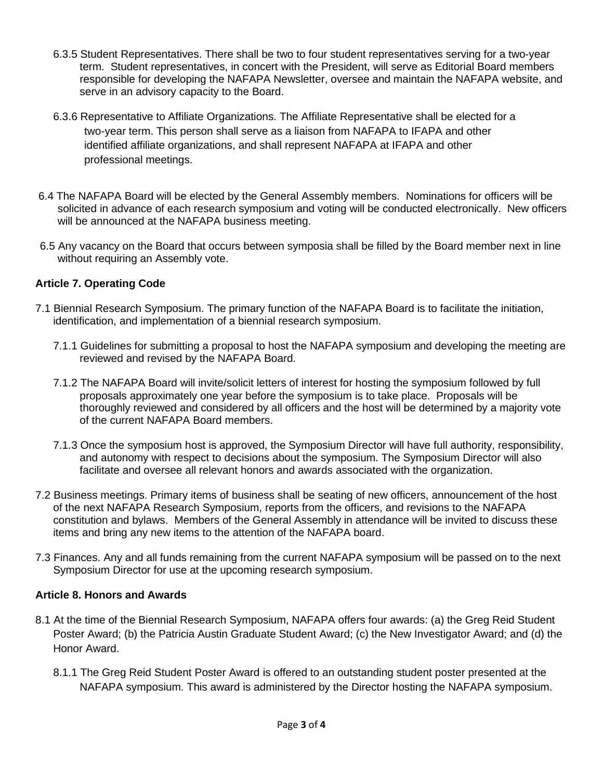- 6.3.5 Student Representatives. There shall be two to four student representatives serving for a two-year term. Student representatives, in concert with the President, will serve as Editorial Board members responsible for developing the NAFAPA Newsletter, oversee and maintain the NAFAPA website, and serve in an advisory capacity to the Board.
- 6.3.6 Representative to Affiliate Organizations. The Affiliate Representative shall be elected for a two-year term. This person shall serve as a liaison from NAFAPA to IFAPA and other identified affiliate organizations, and shall represent NAFAPA at IFAPA and other professional meetings.
- 6.4 The NAFAPA Board will be elected by the General Assembly members. Nominations for officers will be solicited in advance of each research symposium and voting will be conducted electronically. New officers will be announced at the NAFAPA business meeting.
- 6.5 Any vacancy on the Board that occurs between symposia shall be filled by the Board member next in line without requiring an Assembly vote.

# **Article 7. Operating Code**

- 7.1 Biennial Research Symposium. The primary function of the NAFAPA Board is to facilitate the initiation, identification, and implementation of a biennial research symposium.
	- 7.1.1 Guidelines for submitting a proposal to host the NAFAPA symposium and developing the meeting are reviewed and revised by the NAFAPA Board.
	- 7.1.2 The NAFAPA Board will invite/solicit letters of interest for hosting the symposium followed by full proposals approximately one year before the symposium is to take place. Proposals will be thoroughly reviewed and considered by all officers and the host will be determined by a majority vote of the current NAFAPA Board members.
	- 7.1.3 Once the symposium host is approved, the Symposium Director will have full authority, responsibility, and autonomy with respect to decisions about the symposium. The Symposium Director will also facilitate and oversee all relevant honors and awards associated with the organization.
- 7.2 Business meetings. Primary items of business shall be seating of new officers, announcement of the host of the next NAFAPA Research Symposium, reports from the officers, and revisions to the NAFAPA constitution and bylaws. Members of the General Assembly in attendance will be invited to discuss these items and bring any new items to the attention of the NAFAPA board.
- 7.3 Finances. Any and all funds remaining from the current NAFAPA symposium will be passed on to the next Symposium Director for use at the upcoming research symposium.

### **Article 8. Honors and Awards**

- 8.1 At the time of the Biennial Research Symposium, NAFAPA offers four awards: (a) the Greg Reid Student Poster Award; (b) the Patricia Austin Graduate Student Award; (c) the New Investigator Award; and (d) the Honor Award.
	- 8.1.1 The Greg Reid Student Poster Award is offered to an outstanding student poster presented at the NAFAPA symposium. This award is administered by the Director hosting the NAFAPA symposium.